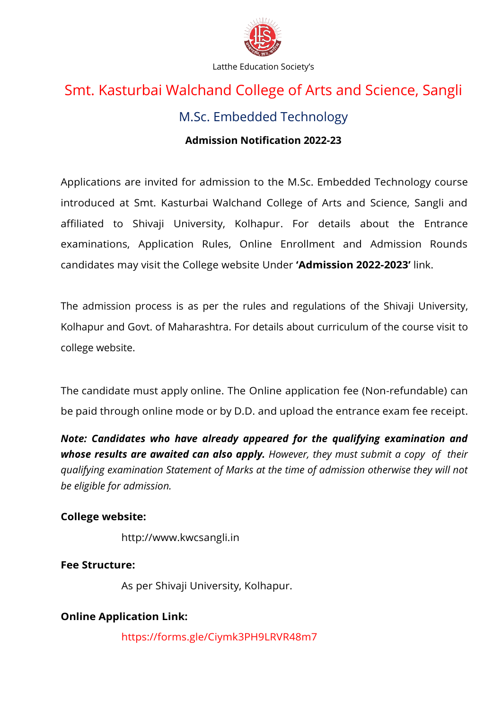

# Smt. Kasturbai Walchand College of Arts and Science, Sangli

# M.Sc. Embedded Technology

## **Admission Notification 2022-23**

Applications are invited for admission to the M.Sc. Embedded Technology course introduced at Smt. Kasturbai Walchand College of Arts and Science, Sangli and affiliated to Shivaji University, Kolhapur. For details about the Entrance examinations, Application Rules, Online Enrollment and Admission Rounds candidates may visit the College website Under **'Admission 2022-2023'** link.

The admission process is as per the rules and regulations of the Shivaji University, Kolhapur and Govt. of Maharashtra. For details about curriculum of the course visit to college website.

The candidate must apply online. The Online application fee (Non-refundable) can be paid through online mode or by D.D. and upload the entrance exam fee receipt.

*Note: Candidates who have already appeared for the qualifying examination and whose results are awaited can also apply. However, they must submit a copy of their qualifying examination Statement of Marks at the time of admission otherwise they will not be eligible for admission.*

#### **College website:**

[http://www.kwcsangli.in](http://www.kwcsangli.in/)

# **Fee Structure:**

As per Shivaji University, Kolhapur.

# **Online Application Link:**

https://forms.gle/Ciymk3PH9LRVR48m7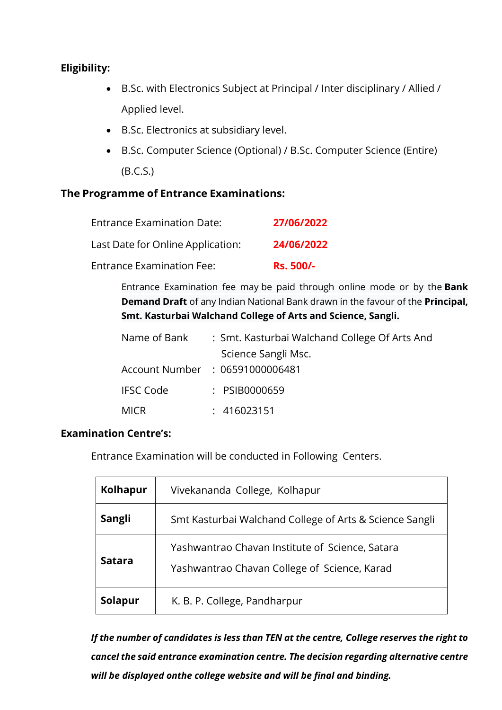### **Eligibility:**

- B.Sc. with Electronics Subject at Principal / Inter disciplinary / Allied / Applied level.
- B.Sc. Electronics at subsidiary level.
- B.Sc. Computer Science (Optional) / B.Sc. Computer Science (Entire) (B.C.S.)

#### **The Programme of Entrance Examinations:**

| <b>Entrance Examination Date:</b> | 27/06/2022       |
|-----------------------------------|------------------|
| Last Date for Online Application: | 24/06/2022       |
| <b>Entrance Examination Fee:</b>  | <b>Rs. 500/-</b> |

Entrance Examination fee may be paid through online mode or by the **Bank Demand Draft** of any Indian National Bank drawn in the favour of the **Principal, Smt. Kasturbai Walchand College of Arts and Science, Sangli.**

| Name of Bank     | : Smt. Kasturbai Walchand College Of Arts And |  |
|------------------|-----------------------------------------------|--|
|                  | Science Sangli Msc.                           |  |
|                  | Account Number : 06591000006481               |  |
| <b>IFSC Code</b> | : PSIB0000659                                 |  |
| <b>MICR</b>      | : 416023151                                   |  |

#### **Examination Centre's:**

Entrance Examination will be conducted in Following Centers.

| <b>Kolhapur</b> | Vivekananda College, Kolhapur                                                                   |
|-----------------|-------------------------------------------------------------------------------------------------|
| <b>Sangli</b>   | Smt Kasturbai Walchand College of Arts & Science Sangli                                         |
| <b>Satara</b>   | Yashwantrao Chavan Institute of Science, Satara<br>Yashwantrao Chavan College of Science, Karad |
| Solapur         | K. B. P. College, Pandharpur                                                                    |

*If the number of candidates is less than TEN at the centre, College reserves the right to cancel the said entrance examination centre. The decision regarding alternative centre will be displayed onthe college website and will be final and binding.*